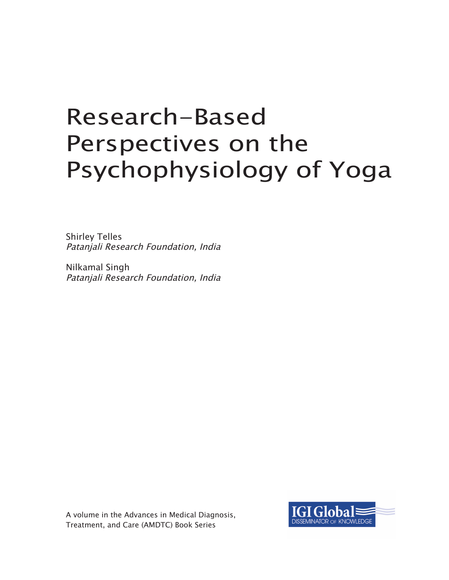# Research-Based Perspectives on the Psychophysiology of Yoga

Shirley Telles Patanjali Research Foundation, India

Nilkamal Singh Patanjali Research Foundation, India

A volume in the Advances in Medical Diagnosis, Treatment, and Care (AMDTC) Book Series

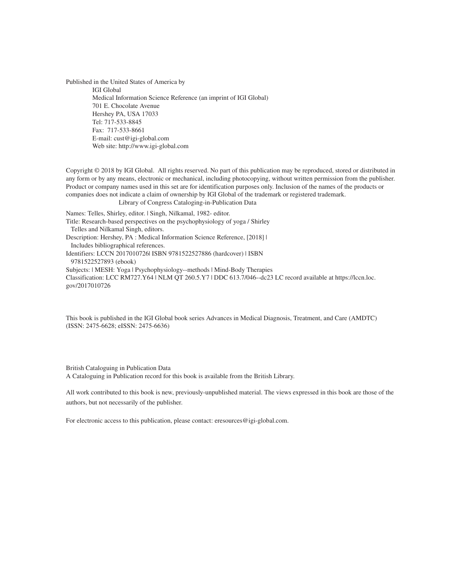Published in the United States of America by IGI Global Medical Information Science Reference (an imprint of IGI Global) 701 E. Chocolate Avenue Hershey PA, USA 17033 Tel: 717-533-8845 Fax: 717-533-8661 E-mail: cust@igi-global.com Web site: http://www.igi-global.com

Copyright © 2018 by IGI Global. All rights reserved. No part of this publication may be reproduced, stored or distributed in any form or by any means, electronic or mechanical, including photocopying, without written permission from the publisher. Product or company names used in this set are for identification purposes only. Inclusion of the names of the products or companies does not indicate a claim of ownership by IGI Global of the trademark or registered trademark.

Library of Congress Cataloging-in-Publication Data

Names: Telles, Shirley, editor. | Singh, Nilkamal, 1982- editor.

Title: Research-based perspectives on the psychophysiology of yoga / Shirley Telles and Nilkamal Singh, editors. Description: Hershey, PA : Medical Information Science Reference, [2018] |

Includes bibliographical references.

Identifiers: LCCN 2017010726| ISBN 9781522527886 (hardcover) | ISBN 9781522527893 (ebook)

Subjects: | MESH: Yoga | Psychophysiology--methods | Mind-Body Therapies

Classification: LCC RM727.Y64 | NLM QT 260.5.Y7 | DDC 613.7/046--dc23 LC record available at https://lccn.loc. gov/2017010726

This book is published in the IGI Global book series Advances in Medical Diagnosis, Treatment, and Care (AMDTC) (ISSN: 2475-6628; eISSN: 2475-6636)

British Cataloguing in Publication Data A Cataloguing in Publication record for this book is available from the British Library.

All work contributed to this book is new, previously-unpublished material. The views expressed in this book are those of the authors, but not necessarily of the publisher.

For electronic access to this publication, please contact: eresources@igi-global.com.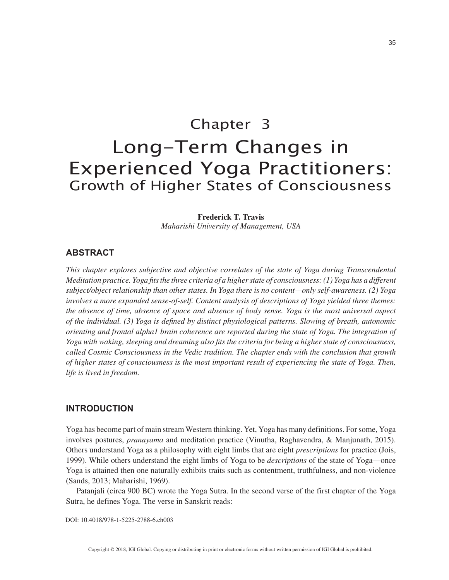# Chapter 3 Long-Term Changes in Experienced Yoga Practitioners: Growth of Higher States of Consciousness

#### **Frederick T. Travis**

*Maharishi University of Management, USA*

#### **ABSTRACT**

*This chapter explores subjective and objective correlates of the state of Yoga during Transcendental Meditation practice. Yoga fits the three criteria of a higher state of consciousness: (1) Yoga has a different subject/object relationship than other states. In Yoga there is no content—only self-awareness. (2) Yoga involves a more expanded sense-of-self. Content analysis of descriptions of Yoga yielded three themes: the absence of time, absence of space and absence of body sense. Yoga is the most universal aspect of the individual. (3) Yoga is defined by distinct physiological patterns. Slowing of breath, autonomic orienting and frontal alpha1 brain coherence are reported during the state of Yoga. The integration of Yoga with waking, sleeping and dreaming also fits the criteria for being a higher state of consciousness, called Cosmic Consciousness in the Vedic tradition. The chapter ends with the conclusion that growth of higher states of consciousness is the most important result of experiencing the state of Yoga. Then, life is lived in freedom.*

#### **INTRODUCTION**

Yoga has become part of main stream Western thinking. Yet, Yoga has many definitions. For some, Yoga involves postures, *pranayama* and meditation practice (Vinutha, Raghavendra, & Manjunath, 2015). Others understand Yoga as a philosophy with eight limbs that are eight *prescriptions* for practice (Jois, 1999). While others understand the eight limbs of Yoga to be *descriptions* of the state of Yoga—once Yoga is attained then one naturally exhibits traits such as contentment, truthfulness, and non-violence (Sands, 2013; Maharishi, 1969).

Patanjali (circa 900 BC) wrote the Yoga Sutra. In the second verse of the first chapter of the Yoga Sutra, he defines Yoga. The verse in Sanskrit reads:

#### DOI: 10.4018/978-1-5225-2788-6.ch003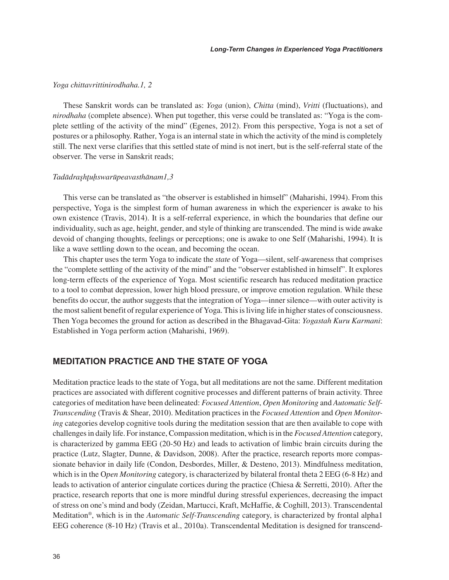#### *Yoga chittavrittinirodhaha.1, 2*

These Sanskrit words can be translated as: *Yoga* (union), *Chitta* (mind), *Vritti* (fluctuations), and *nirodhaha* (complete absence). When put together, this verse could be translated as: "Yoga is the complete settling of the activity of the mind" (Egenes, 2012). From this perspective, Yoga is not a set of postures or a philosophy. Rather, Yoga is an internal state in which the activity of the mind is completely still. The next verse clarifies that this settled state of mind is not inert, but is the self-referral state of the observer. The verse in Sanskrit reads;

#### *Tadādraşhţuḩswarūpeavasthānam1,3*

This verse can be translated as "the observer is established in himself" (Maharishi, 1994). From this perspective, Yoga is the simplest form of human awareness in which the experiencer is awake to his own existence (Travis, 2014). It is a self-referral experience, in which the boundaries that define our individuality, such as age, height, gender, and style of thinking are transcended. The mind is wide awake devoid of changing thoughts, feelings or perceptions; one is awake to one Self (Maharishi, 1994). It is like a wave settling down to the ocean, and becoming the ocean.

This chapter uses the term Yoga to indicate the *state* of Yoga—silent, self-awareness that comprises the "complete settling of the activity of the mind" and the "observer established in himself". It explores long-term effects of the experience of Yoga. Most scientific research has reduced meditation practice to a tool to combat depression, lower high blood pressure, or improve emotion regulation. While these benefits do occur, the author suggests that the integration of Yoga—inner silence—with outer activity is the most salient benefit of regular experience of Yoga. This is living life in higher states of consciousness. Then Yoga becomes the ground for action as described in the Bhagavad-Gita: *Yogastah Kuru Karmani*: Established in Yoga perform action (Maharishi, 1969).

#### **MEDITATION PRACTICE AND THE STATE OF YOGA**

Meditation practice leads to the state of Yoga, but all meditations are not the same. Different meditation practices are associated with different cognitive processes and different patterns of brain activity. Three categories of meditation have been delineated: *Focused Attention*, *Open Monitoring* and *Automatic Self-Transcending* (Travis & Shear, 2010). Meditation practices in the *Focused Attention* and *Open Monitoring* categories develop cognitive tools during the meditation session that are then available to cope with challenges in daily life. For instance, Compassion meditation, which is in the *Focused Attention* category, is characterized by gamma EEG (20-50 Hz) and leads to activation of limbic brain circuits during the practice (Lutz, Slagter, Dunne, & Davidson, 2008). After the practice, research reports more compassionate behavior in daily life (Condon, Desbordes, Miller, & Desteno, 2013). Mindfulness meditation, which is in the O*pen Monitoring* category, is characterized by bilateral frontal theta 2 EEG (6-8 Hz) and leads to activation of anterior cingulate cortices during the practice (Chiesa & Serretti, 2010). After the practice, research reports that one is more mindful during stressful experiences, decreasing the impact of stress on one's mind and body (Zeidan, Martucci, Kraft, McHaffie, & Coghill, 2013). Transcendental Meditation®, which is in the *Automatic Self-Transcending* category, is characterized by frontal alpha1 EEG coherence (8-10 Hz) (Travis et al., 2010a). Transcendental Meditation is designed for transcend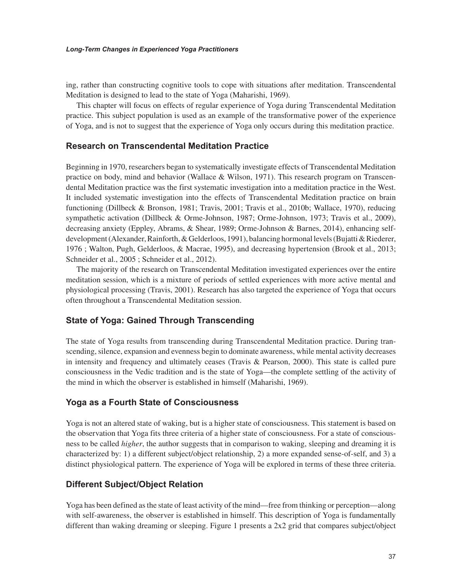ing, rather than constructing cognitive tools to cope with situations after meditation. Transcendental Meditation is designed to lead to the state of Yoga (Maharishi, 1969).

This chapter will focus on effects of regular experience of Yoga during Transcendental Meditation practice. This subject population is used as an example of the transformative power of the experience of Yoga, and is not to suggest that the experience of Yoga only occurs during this meditation practice.

#### **Research on Transcendental Meditation Practice**

Beginning in 1970, researchers began to systematically investigate effects of Transcendental Meditation practice on body, mind and behavior (Wallace & Wilson, 1971). This research program on Transcendental Meditation practice was the first systematic investigation into a meditation practice in the West. It included systematic investigation into the effects of Transcendental Meditation practice on brain functioning (Dillbeck & Bronson, 1981; Travis, 2001; Travis et al., 2010b; Wallace, 1970), reducing sympathetic activation (Dillbeck & Orme-Johnson, 1987; Orme-Johnson, 1973; Travis et al., 2009), decreasing anxiety (Eppley, Abrams, & Shear, 1989; Orme-Johnson & Barnes, 2014), enhancing selfdevelopment (Alexander, Rainforth, & Gelderloos, 1991), balancing hormonal levels (Bujatti & Riederer, 1976 ; Walton, Pugh, Gelderloos, & Macrae, 1995), and decreasing hypertension (Brook et al., 2013; Schneider et al., 2005 ; Schneider et al., 2012).

The majority of the research on Transcendental Meditation investigated experiences over the entire meditation session, which is a mixture of periods of settled experiences with more active mental and physiological processing (Travis, 2001). Research has also targeted the experience of Yoga that occurs often throughout a Transcendental Meditation session.

#### **State of Yoga: Gained Through Transcending**

The state of Yoga results from transcending during Transcendental Meditation practice. During transcending, silence, expansion and evenness begin to dominate awareness, while mental activity decreases in intensity and frequency and ultimately ceases (Travis & Pearson, 2000). This state is called pure consciousness in the Vedic tradition and is the state of Yoga—the complete settling of the activity of the mind in which the observer is established in himself (Maharishi, 1969).

# **Yoga as a Fourth State of Consciousness**

Yoga is not an altered state of waking, but is a higher state of consciousness. This statement is based on the observation that Yoga fits three criteria of a higher state of consciousness. For a state of consciousness to be called *higher*, the author suggests that in comparison to waking, sleeping and dreaming it is characterized by: 1) a different subject/object relationship, 2) a more expanded sense-of-self, and 3) a distinct physiological pattern. The experience of Yoga will be explored in terms of these three criteria.

#### **Different Subject/Object Relation**

Yoga has been defined as the state of least activity of the mind—free from thinking or perception—along with self-awareness, the observer is established in himself. This description of Yoga is fundamentally different than waking dreaming or sleeping. Figure 1 presents a 2x2 grid that compares subject/object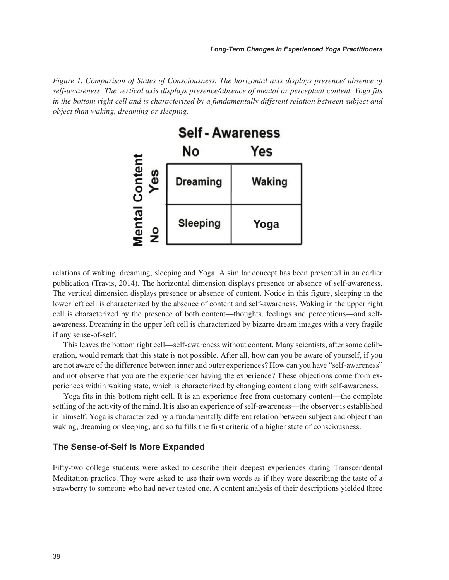*Figure 1. Comparison of States of Consciousness. The horizontal axis displays presence/ absence of self-awareness. The vertical axis displays presence/absence of mental or perceptual content. Yoga fits in the bottom right cell and is characterized by a fundamentally different relation between subject and object than waking, dreaming or sleeping.*



relations of waking, dreaming, sleeping and Yoga. A similar concept has been presented in an earlier publication (Travis, 2014). The horizontal dimension displays presence or absence of self-awareness. The vertical dimension displays presence or absence of content. Notice in this figure, sleeping in the lower left cell is characterized by the absence of content and self-awareness. Waking in the upper right cell is characterized by the presence of both content—thoughts, feelings and perceptions—and selfawareness. Dreaming in the upper left cell is characterized by bizarre dream images with a very fragile if any sense-of-self.

This leaves the bottom right cell—self-awareness without content. Many scientists, after some deliberation, would remark that this state is not possible. After all, how can you be aware of yourself, if you are not aware of the difference between inner and outer experiences? How can you have "self-awareness" and not observe that you are the experiencer having the experience? These objections come from experiences within waking state, which is characterized by changing content along with self-awareness.

Yoga fits in this bottom right cell. It is an experience free from customary content—the complete settling of the activity of the mind. It is also an experience of self-awareness—the observer is established in himself. Yoga is characterized by a fundamentally different relation between subject and object than waking, dreaming or sleeping, and so fulfills the first criteria of a higher state of consciousness.

#### **The Sense-of-Self Is More Expanded**

Fifty-two college students were asked to describe their deepest experiences during Transcendental Meditation practice. They were asked to use their own words as if they were describing the taste of a strawberry to someone who had never tasted one. A content analysis of their descriptions yielded three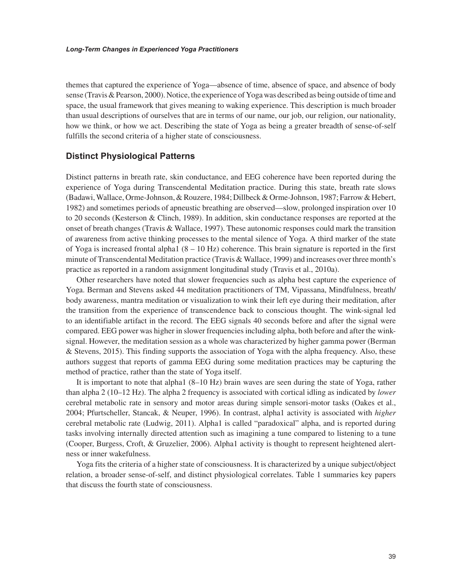themes that captured the experience of Yoga—absence of time, absence of space, and absence of body sense (Travis & Pearson, 2000). Notice, the experience of Yoga was described as being outside of time and space, the usual framework that gives meaning to waking experience. This description is much broader than usual descriptions of ourselves that are in terms of our name, our job, our religion, our nationality, how we think, or how we act. Describing the state of Yoga as being a greater breadth of sense-of-self fulfills the second criteria of a higher state of consciousness.

#### **Distinct Physiological Patterns**

Distinct patterns in breath rate, skin conductance, and EEG coherence have been reported during the experience of Yoga during Transcendental Meditation practice. During this state, breath rate slows (Badawi, Wallace, Orme-Johnson, & Rouzere, 1984; Dillbeck & Orme-Johnson, 1987; Farrow & Hebert, 1982) and sometimes periods of apneustic breathing are observed—slow, prolonged inspiration over 10 to 20 seconds (Kesterson & Clinch, 1989). In addition, skin conductance responses are reported at the onset of breath changes (Travis & Wallace, 1997). These autonomic responses could mark the transition of awareness from active thinking processes to the mental silence of Yoga. A third marker of the state of Yoga is increased frontal alpha1  $(8 - 10 \text{ Hz})$  coherence. This brain signature is reported in the first minute of Transcendental Meditation practice (Travis & Wallace, 1999) and increases over three month's practice as reported in a random assignment longitudinal study (Travis et al., 2010a).

Other researchers have noted that slower frequencies such as alpha best capture the experience of Yoga. Berman and Stevens asked 44 meditation practitioners of TM, Vipassana, Mindfulness, breath/ body awareness, mantra meditation or visualization to wink their left eye during their meditation, after the transition from the experience of transcendence back to conscious thought. The wink-signal led to an identifiable artifact in the record. The EEG signals 40 seconds before and after the signal were compared. EEG power was higher in slower frequencies including alpha, both before and after the winksignal. However, the meditation session as a whole was characterized by higher gamma power (Berman & Stevens, 2015). This finding supports the association of Yoga with the alpha frequency. Also, these authors suggest that reports of gamma EEG during some meditation practices may be capturing the method of practice, rather than the state of Yoga itself.

It is important to note that alpha1 (8–10 Hz) brain waves are seen during the state of Yoga, rather than alpha 2 (10–12 Hz). The alpha 2 frequency is associated with cortical idling as indicated by *lower* cerebral metabolic rate in sensory and motor areas during simple sensori-motor tasks (Oakes et al., 2004; Pfurtscheller, Stancak, & Neuper, 1996). In contrast, alpha1 activity is associated with *higher* cerebral metabolic rate (Ludwig, 2011). Alpha1 is called "paradoxical" alpha, and is reported during tasks involving internally directed attention such as imagining a tune compared to listening to a tune (Cooper, Burgess, Croft, & Gruzelier, 2006). Alpha1 activity is thought to represent heightened alertness or inner wakefulness.

Yoga fits the criteria of a higher state of consciousness. It is characterized by a unique subject/object relation, a broader sense-of-self, and distinct physiological correlates. Table 1 summaries key papers that discuss the fourth state of consciousness.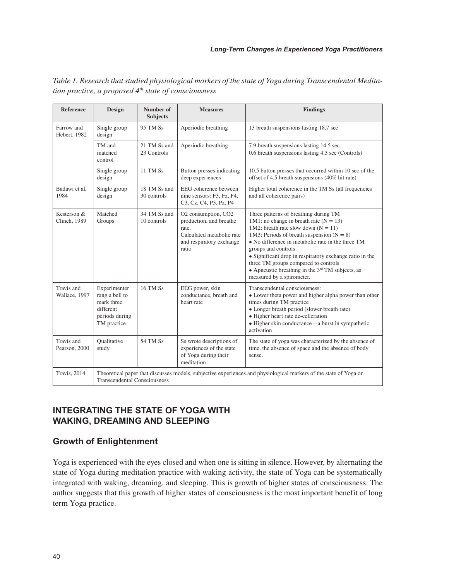| <b>Reference</b>            | Design                                                                                                                                                   | Number of<br><b>Subjects</b> | <b>Measures</b>                                                                                                           | <b>Findings</b>                                                                                                                                                                                                                                                                                                                                                                                                                             |  |  |
|-----------------------------|----------------------------------------------------------------------------------------------------------------------------------------------------------|------------------------------|---------------------------------------------------------------------------------------------------------------------------|---------------------------------------------------------------------------------------------------------------------------------------------------------------------------------------------------------------------------------------------------------------------------------------------------------------------------------------------------------------------------------------------------------------------------------------------|--|--|
| Farrow and<br>Hebert, 1982  | Single group<br>design                                                                                                                                   | 95 TM Ss                     | Aperiodic breathing                                                                                                       | 13 breath suspensions lasting 18.7 sec                                                                                                                                                                                                                                                                                                                                                                                                      |  |  |
|                             | TM and<br>matched<br>control                                                                                                                             | 21 TM Ss and<br>23 Controls  | Aperiodic breathing                                                                                                       | 7.9 breath suspensions lasting 14.5 sec<br>0.6 breath suspensions lasting 4.3 sec (Controls)                                                                                                                                                                                                                                                                                                                                                |  |  |
|                             | Single group<br>design                                                                                                                                   | 11 TM Ss                     | Button presses indicating<br>deep experiences                                                                             | 10.5 button presses that occurred within 10 sec of the<br>offset of 4.5 breath suspensions (40% hit rate)                                                                                                                                                                                                                                                                                                                                   |  |  |
| Badawi et al.<br>1984       | Single group<br>design                                                                                                                                   | 18 TM Ss and<br>30 controls  | EEG coherence between<br>nine sensors: F3, Fz, F4,<br>C3, Cz, C4, P3, Pz, P4                                              | Higher total coherence in the TM Ss (all frequencies<br>and all coherence pairs)                                                                                                                                                                                                                                                                                                                                                            |  |  |
| Kesterson &<br>Clinch, 1989 | Matched<br>Groups                                                                                                                                        | 34 TM Ss and<br>10 controls  | O2 consumption, CO2<br>production, and breathe<br>rate.<br>Calculated metabolic rate<br>and respiratory exchange<br>ratio | Three patterns of breathing during TM<br>TM1: no change in breath rate $(N = 13)$<br>TM2: breath rate slow down $(N = 11)$<br>TM3: Periods of breath suspension $(N = 8)$<br>• No difference in metabolic rate in the three TM<br>groups and controls<br>• Significant drop in respiratory exchange ratio in the<br>three TM groups compared to controls<br>• Apneustic breathing in the $3rd$ TM subjects, as<br>measured by a spirometer. |  |  |
| Travis and<br>Wallace, 1997 | Experimenter<br>rang a bell to<br>mark three<br>different<br>periods during<br>TM practice                                                               | <b>16 TM Ss</b>              | EEG power, skin<br>conductance, breath and<br>heart rate                                                                  | Transcendental consciousness:<br>• Lower theta power and higher alpha power than other<br>times during TM practice<br>• Longer breath period (slower breath rate)<br>• Higher heart rate de-celleration<br>• Higher skin conductance—a burst in sympathetic<br>activation                                                                                                                                                                   |  |  |
| Travis and<br>Pearson, 2000 | Oualitative<br>study                                                                                                                                     | 54 TM Ss                     | Ss wrote descriptions of<br>experiences of the state<br>of Yoga during their<br>meditation                                | The state of yoga was characterized by the absence of<br>time, the absence of space and the absence of body<br>sense.                                                                                                                                                                                                                                                                                                                       |  |  |
| Travis, 2014                | Theoretical paper that discusses models, subjective experiences and physiological markers of the state of Yoga or<br><b>Transcendental Consciousness</b> |                              |                                                                                                                           |                                                                                                                                                                                                                                                                                                                                                                                                                                             |  |  |

*Table 1. Research that studied physiological markers of the state of Yoga during Transcendental Meditation practice, a proposed 4th state of consciousness*

# **INTEGRATING THE STATE OF YOGA WITH WAKING, DREAMING AND SLEEPING**

# **Growth of Enlightenment**

Yoga is experienced with the eyes closed and when one is sitting in silence. However, by alternating the state of Yoga during meditation practice with waking activity, the state of Yoga can be systematically integrated with waking, dreaming, and sleeping. This is growth of higher states of consciousness. The author suggests that this growth of higher states of consciousness is the most important benefit of long term Yoga practice.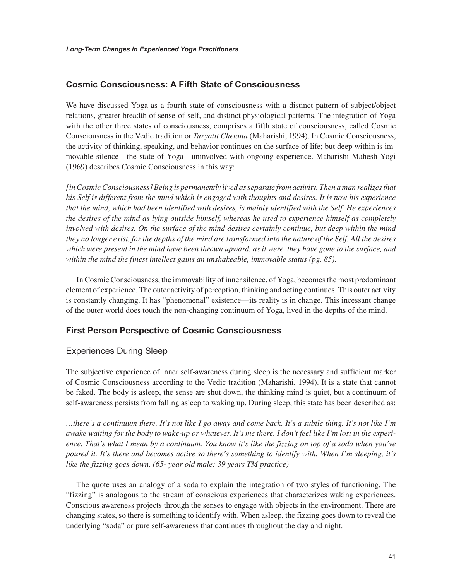#### **Cosmic Consciousness: A Fifth State of Consciousness**

We have discussed Yoga as a fourth state of consciousness with a distinct pattern of subject/object relations, greater breadth of sense-of-self, and distinct physiological patterns. The integration of Yoga with the other three states of consciousness, comprises a fifth state of consciousness, called Cosmic Consciousness in the Vedic tradition or *Turyatit Chetana* (Maharishi, 1994). In Cosmic Consciousness, the activity of thinking, speaking, and behavior continues on the surface of life; but deep within is immovable silence—the state of Yoga—uninvolved with ongoing experience. Maharishi Mahesh Yogi (1969) describes Cosmic Consciousness in this way:

*[in Cosmic Consciousness] Being is permanently lived as separate from activity. Then a man realizes that his Self is different from the mind which is engaged with thoughts and desires. It is now his experience that the mind, which had been identified with desires, is mainly identified with the Self. He experiences the desires of the mind as lying outside himself, whereas he used to experience himself as completely involved with desires. On the surface of the mind desires certainly continue, but deep within the mind they no longer exist, for the depths of the mind are transformed into the nature of the Self. All the desires which were present in the mind have been thrown upward, as it were, they have gone to the surface, and within the mind the finest intellect gains an unshakeable, immovable status (pg. 85).*

In Cosmic Consciousness, the immovability of inner silence, of Yoga, becomes the most predominant element of experience. The outer activity of perception, thinking and acting continues. This outer activity is constantly changing. It has "phenomenal" existence—its reality is in change. This incessant change of the outer world does touch the non-changing continuum of Yoga, lived in the depths of the mind.

#### **First Person Perspective of Cosmic Consciousness**

#### Experiences During Sleep

The subjective experience of inner self-awareness during sleep is the necessary and sufficient marker of Cosmic Consciousness according to the Vedic tradition (Maharishi, 1994). It is a state that cannot be faked. The body is asleep, the sense are shut down, the thinking mind is quiet, but a continuum of self-awareness persists from falling asleep to waking up. During sleep, this state has been described as:

*…there's a continuum there. It's not like I go away and come back. It's a subtle thing. It's not like I'm awake waiting for the body to wake-up or whatever. It's me there. I don't feel like I'm lost in the experience. That's what I mean by a continuum. You know it's like the fizzing on top of a soda when you've poured it. It's there and becomes active so there's something to identify with. When I'm sleeping, it's like the fizzing goes down. (65- year old male; 39 years TM practice)*

The quote uses an analogy of a soda to explain the integration of two styles of functioning. The "fizzing" is analogous to the stream of conscious experiences that characterizes waking experiences. Conscious awareness projects through the senses to engage with objects in the environment. There are changing states, so there is something to identify with. When asleep, the fizzing goes down to reveal the underlying "soda" or pure self-awareness that continues throughout the day and night.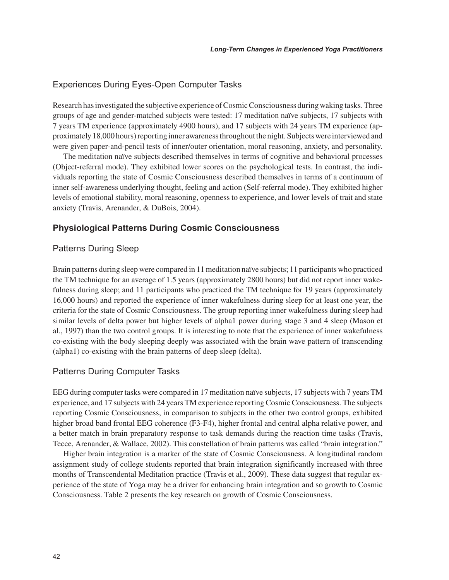#### Experiences During Eyes-Open Computer Tasks

Research has investigated the subjective experience of Cosmic Consciousness during waking tasks. Three groups of age and gender-matched subjects were tested: 17 meditation naïve subjects, 17 subjects with 7 years TM experience (approximately 4900 hours), and 17 subjects with 24 years TM experience (approximately 18,000 hours) reporting inner awareness throughout the night. Subjects were interviewed and were given paper-and-pencil tests of inner/outer orientation, moral reasoning, anxiety, and personality.

The meditation naïve subjects described themselves in terms of cognitive and behavioral processes (Object-referral mode). They exhibited lower scores on the psychological tests. In contrast, the individuals reporting the state of Cosmic Consciousness described themselves in terms of a continuum of inner self-awareness underlying thought, feeling and action (Self-referral mode). They exhibited higher levels of emotional stability, moral reasoning, openness to experience, and lower levels of trait and state anxiety (Travis, Arenander, & DuBois, 2004).

#### **Physiological Patterns During Cosmic Consciousness**

#### Patterns During Sleep

Brain patterns during sleep were compared in 11 meditation naïve subjects; 11 participants who practiced the TM technique for an average of 1.5 years (approximately 2800 hours) but did not report inner wakefulness during sleep; and 11 participants who practiced the TM technique for 19 years (approximately 16,000 hours) and reported the experience of inner wakefulness during sleep for at least one year, the criteria for the state of Cosmic Consciousness. The group reporting inner wakefulness during sleep had similar levels of delta power but higher levels of alpha1 power during stage 3 and 4 sleep (Mason et al., 1997) than the two control groups. It is interesting to note that the experience of inner wakefulness co-existing with the body sleeping deeply was associated with the brain wave pattern of transcending (alpha1) co-existing with the brain patterns of deep sleep (delta).

#### Patterns During Computer Tasks

EEG during computer tasks were compared in 17 meditation naïve subjects, 17 subjects with 7 years TM experience, and 17 subjects with 24 years TM experience reporting Cosmic Consciousness. The subjects reporting Cosmic Consciousness, in comparison to subjects in the other two control groups, exhibited higher broad band frontal EEG coherence (F3-F4), higher frontal and central alpha relative power, and a better match in brain preparatory response to task demands during the reaction time tasks (Travis, Tecce, Arenander, & Wallace, 2002). This constellation of brain patterns was called "brain integration."

Higher brain integration is a marker of the state of Cosmic Consciousness. A longitudinal random assignment study of college students reported that brain integration significantly increased with three months of Transcendental Meditation practice (Travis et al., 2009). These data suggest that regular experience of the state of Yoga may be a driver for enhancing brain integration and so growth to Cosmic Consciousness. Table 2 presents the key research on growth of Cosmic Consciousness.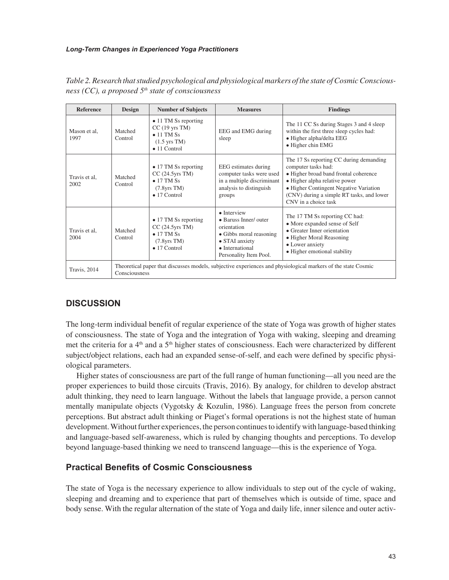| <b>Reference</b>      | <b>Design</b>                                                                                                                  | <b>Number of Subjects</b>                                                                                                   | <b>Measures</b>                                                                                                                                       | <b>Findings</b>                                                                                                                                                                                                                                         |  |  |
|-----------------------|--------------------------------------------------------------------------------------------------------------------------------|-----------------------------------------------------------------------------------------------------------------------------|-------------------------------------------------------------------------------------------------------------------------------------------------------|---------------------------------------------------------------------------------------------------------------------------------------------------------------------------------------------------------------------------------------------------------|--|--|
| Mason et al.<br>1997  | Matched<br>Control                                                                                                             | • 11 TM Ss reporting<br>$CC(19$ yrs TM)<br>$\bullet$ 11 TM Ss<br>$(1.5 \text{ yrs} \text{ TM})$<br>$\bullet$ 11 Control     | EEG and EMG during<br>sleep                                                                                                                           | The 11 CC Ss during Stages 3 and 4 sleep<br>within the first three sleep cycles had:<br>· Higher alpha/delta EEG<br>· Higher chin EMG                                                                                                                   |  |  |
| Travis et al.<br>2002 | Matched<br>Control                                                                                                             | • 17 TM Ss reporting<br>$CC(24.5\gamma rs TM)$<br>$\bullet$ 17 TM Ss<br>$(7.8\text{yrs}\text{ T}M)$<br>$\bullet$ 17 Control | EEG estimates during<br>computer tasks were used<br>in a multiple discriminant<br>analysis to distinguish<br>groups                                   | The 17 Ss reporting CC during demanding<br>computer tasks had:<br>• Higher broad band frontal coherence<br>• Higher alpha relative power<br>• Higher Contingent Negative Variation<br>(CNV) during a simple RT tasks, and lower<br>CNV in a choice task |  |  |
| Travis et al.<br>2004 | Matched<br>Control                                                                                                             | • 17 TM Ss reporting<br>$CC(24.5\gamma rs TM)$<br>$\bullet$ 17 TM Ss<br>$(7.8\text{yrs}\text{ TM})$<br>$\bullet$ 17 Control | $\bullet$ Interview<br>• Baruss Inner/ outer<br>orientation<br>• Gibbs moral reasoning<br>• STAI anxiety<br>• International<br>Personality Item Pool. | The 17 TM Ss reporting CC had:<br>• More expanded sense of Self<br>• Greater Inner orientation<br>• Higher Moral Reasoning<br>• Lower anxiety<br>• Higher emotional stability                                                                           |  |  |
| Travis, 2014          | Theoretical paper that discusses models, subjective experiences and physiological markers of the state Cosmic<br>Consciousness |                                                                                                                             |                                                                                                                                                       |                                                                                                                                                                                                                                                         |  |  |

*Table 2. Research that studied psychological and physiological markers of the state of Cosmic Consciousness (CC), a proposed 5th state of consciousness*

# **DISCUSSION**

The long-term individual benefit of regular experience of the state of Yoga was growth of higher states of consciousness. The state of Yoga and the integration of Yoga with waking, sleeping and dreaming met the criteria for a 4<sup>th</sup> and a 5<sup>th</sup> higher states of consciousness. Each were characterized by different subject/object relations, each had an expanded sense-of-self, and each were defined by specific physiological parameters.

Higher states of consciousness are part of the full range of human functioning—all you need are the proper experiences to build those circuits (Travis, 2016). By analogy, for children to develop abstract adult thinking, they need to learn language. Without the labels that language provide, a person cannot mentally manipulate objects (Vygotsky & Kozulin, 1986). Language frees the person from concrete perceptions. But abstract adult thinking or Piaget's formal operations is not the highest state of human development. Without further experiences, the person continues to identify with language-based thinking and language-based self-awareness, which is ruled by changing thoughts and perceptions. To develop beyond language-based thinking we need to transcend language—this is the experience of Yoga.

# **Practical Benefits of Cosmic Consciousness**

The state of Yoga is the necessary experience to allow individuals to step out of the cycle of waking, sleeping and dreaming and to experience that part of themselves which is outside of time, space and body sense. With the regular alternation of the state of Yoga and daily life, inner silence and outer activ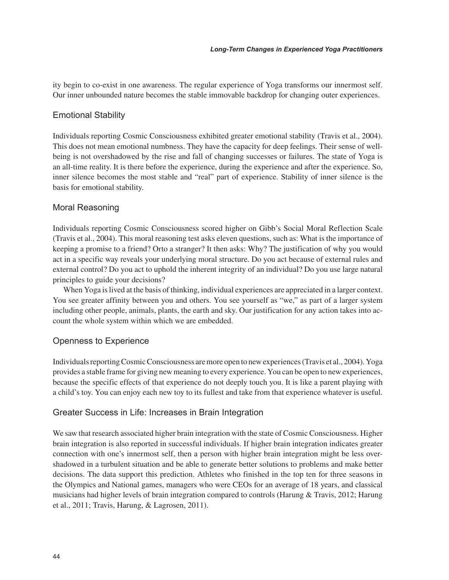ity begin to co-exist in one awareness. The regular experience of Yoga transforms our innermost self. Our inner unbounded nature becomes the stable immovable backdrop for changing outer experiences.

#### Emotional Stability

Individuals reporting Cosmic Consciousness exhibited greater emotional stability (Travis et al., 2004). This does not mean emotional numbness. They have the capacity for deep feelings. Their sense of wellbeing is not overshadowed by the rise and fall of changing successes or failures. The state of Yoga is an all-time reality. It is there before the experience, during the experience and after the experience. So, inner silence becomes the most stable and "real" part of experience. Stability of inner silence is the basis for emotional stability.

#### Moral Reasoning

Individuals reporting Cosmic Consciousness scored higher on Gibb's Social Moral Reflection Scale (Travis et al., 2004). This moral reasoning test asks eleven questions, such as: What is the importance of keeping a promise to a friend? Orto a stranger? It then asks: Why? The justification of why you would act in a specific way reveals your underlying moral structure. Do you act because of external rules and external control? Do you act to uphold the inherent integrity of an individual? Do you use large natural principles to guide your decisions?

When Yoga is lived at the basis of thinking, individual experiences are appreciated in a larger context. You see greater affinity between you and others. You see yourself as "we," as part of a larger system including other people, animals, plants, the earth and sky. Our justification for any action takes into account the whole system within which we are embedded.

#### Openness to Experience

Individuals reporting Cosmic Consciousness are more open to new experiences (Travis et al., 2004). Yoga provides a stable frame for giving new meaning to every experience. You can be open to new experiences, because the specific effects of that experience do not deeply touch you. It is like a parent playing with a child's toy. You can enjoy each new toy to its fullest and take from that experience whatever is useful.

#### Greater Success in Life: Increases in Brain Integration

We saw that research associated higher brain integration with the state of Cosmic Consciousness. Higher brain integration is also reported in successful individuals. If higher brain integration indicates greater connection with one's innermost self, then a person with higher brain integration might be less overshadowed in a turbulent situation and be able to generate better solutions to problems and make better decisions. The data support this prediction. Athletes who finished in the top ten for three seasons in the Olympics and National games, managers who were CEOs for an average of 18 years, and classical musicians had higher levels of brain integration compared to controls (Harung & Travis, 2012; Harung et al., 2011; Travis, Harung, & Lagrosen, 2011).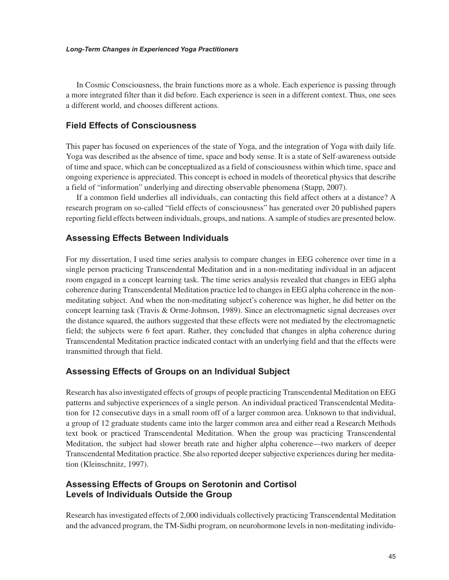In Cosmic Consciousness, the brain functions more as a whole. Each experience is passing through a more integrated filter than it did before. Each experience is seen in a different context. Thus, one sees a different world, and chooses different actions.

#### **Field Effects of Consciousness**

This paper has focused on experiences of the state of Yoga, and the integration of Yoga with daily life. Yoga was described as the absence of time, space and body sense. It is a state of Self-awareness outside of time and space, which can be conceptualized as a field of consciousness within which time, space and ongoing experience is appreciated. This concept is echoed in models of theoretical physics that describe a field of "information" underlying and directing observable phenomena (Stapp, 2007).

If a common field underlies all individuals, can contacting this field affect others at a distance? A research program on so-called "field effects of consciousness" has generated over 20 published papers reporting field effects between individuals, groups, and nations. A sample of studies are presented below.

#### **Assessing Effects Between Individuals**

For my dissertation, I used time series analysis to compare changes in EEG coherence over time in a single person practicing Transcendental Meditation and in a non-meditating individual in an adjacent room engaged in a concept learning task. The time series analysis revealed that changes in EEG alpha coherence during Transcendental Meditation practice led to changes in EEG alpha coherence in the nonmeditating subject. And when the non-meditating subject's coherence was higher, he did better on the concept learning task (Travis & Orme-Johnson, 1989). Since an electromagnetic signal decreases over the distance squared, the authors suggested that these effects were not mediated by the electromagnetic field; the subjects were 6 feet apart. Rather, they concluded that changes in alpha coherence during Transcendental Meditation practice indicated contact with an underlying field and that the effects were transmitted through that field.

#### **Assessing Effects of Groups on an Individual Subject**

Research has also investigated effects of groups of people practicing Transcendental Meditation on EEG patterns and subjective experiences of a single person. An individual practiced Transcendental Meditation for 12 consecutive days in a small room off of a larger common area. Unknown to that individual, a group of 12 graduate students came into the larger common area and either read a Research Methods text book or practiced Transcendental Meditation. When the group was practicing Transcendental Meditation, the subject had slower breath rate and higher alpha coherence—two markers of deeper Transcendental Meditation practice. She also reported deeper subjective experiences during her meditation (Kleinschnitz, 1997).

# **Assessing Effects of Groups on Serotonin and Cortisol Levels of Individuals Outside the Group**

Research has investigated effects of 2,000 individuals collectively practicing Transcendental Meditation and the advanced program, the TM-Sidhi program, on neurohormone levels in non-meditating individu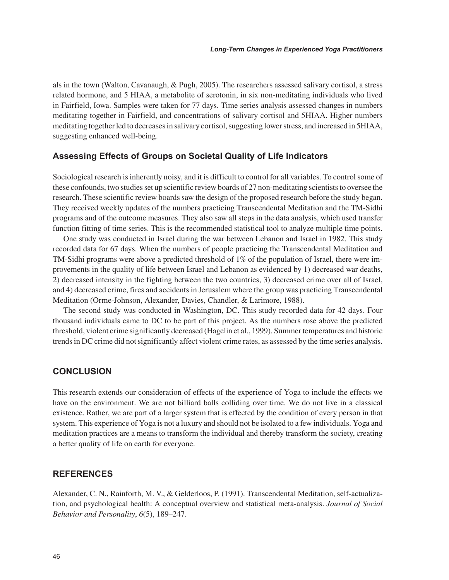als in the town (Walton, Cavanaugh, & Pugh, 2005). The researchers assessed salivary cortisol, a stress related hormone, and 5 HIAA, a metabolite of serotonin, in six non-meditating individuals who lived in Fairfield, Iowa. Samples were taken for 77 days. Time series analysis assessed changes in numbers meditating together in Fairfield, and concentrations of salivary cortisol and 5HIAA. Higher numbers meditating together led to decreases in salivary cortisol, suggesting lower stress, and increased in 5HIAA, suggesting enhanced well-being.

#### **Assessing Effects of Groups on Societal Quality of Life Indicators**

Sociological research is inherently noisy, and it is difficult to control for all variables. To control some of these confounds, two studies set up scientific review boards of 27 non-meditating scientists to oversee the research. These scientific review boards saw the design of the proposed research before the study began. They received weekly updates of the numbers practicing Transcendental Meditation and the TM-Sidhi programs and of the outcome measures. They also saw all steps in the data analysis, which used transfer function fitting of time series. This is the recommended statistical tool to analyze multiple time points.

One study was conducted in Israel during the war between Lebanon and Israel in 1982. This study recorded data for 67 days. When the numbers of people practicing the Transcendental Meditation and TM-Sidhi programs were above a predicted threshold of 1% of the population of Israel, there were improvements in the quality of life between Israel and Lebanon as evidenced by 1) decreased war deaths, 2) decreased intensity in the fighting between the two countries, 3) decreased crime over all of Israel, and 4) decreased crime, fires and accidents in Jerusalem where the group was practicing Transcendental Meditation (Orme-Johnson, Alexander, Davies, Chandler, & Larimore, 1988).

The second study was conducted in Washington, DC. This study recorded data for 42 days. Four thousand individuals came to DC to be part of this project. As the numbers rose above the predicted threshold, violent crime significantly decreased (Hagelin et al., 1999). Summer temperatures and historic trends in DC crime did not significantly affect violent crime rates, as assessed by the time series analysis.

#### **CONCLUSION**

This research extends our consideration of effects of the experience of Yoga to include the effects we have on the environment. We are not billiard balls colliding over time. We do not live in a classical existence. Rather, we are part of a larger system that is effected by the condition of every person in that system. This experience of Yoga is not a luxury and should not be isolated to a few individuals. Yoga and meditation practices are a means to transform the individual and thereby transform the society, creating a better quality of life on earth for everyone.

#### **REFERENCES**

Alexander, C. N., Rainforth, M. V., & Gelderloos, P. (1991). Transcendental Meditation, self-actualization, and psychological health: A conceptual overview and statistical meta-analysis. *Journal of Social Behavior and Personality*, *6*(5), 189–247.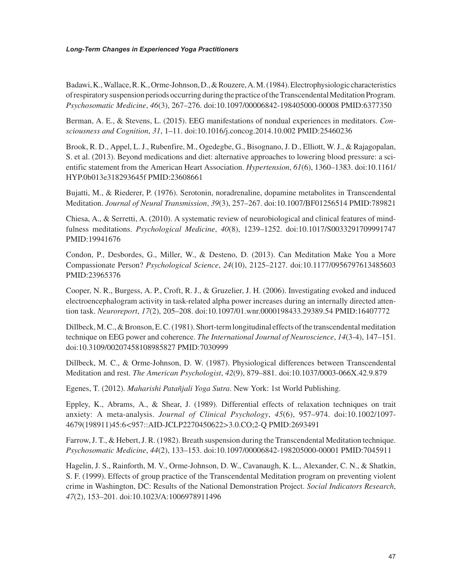#### *Long-Term Changes in Experienced Yoga Practitioners*

Badawi, K., Wallace, R. K., Orme-Johnson, D., & Rouzere, A. M. (1984). Electrophysiologic characteristics of respiratory suspension periods occurring during the practice of the Transcendental Meditation Program. *Psychosomatic Medicine*, *46*(3), 267–276. doi:10.1097/00006842-198405000-00008 PMID:6377350

Berman, A. E., & Stevens, L. (2015). EEG manifestations of nondual experiences in meditators. *Consciousness and Cognition*, *31*, 1–11. doi:10.1016/j.concog.2014.10.002 PMID:25460236

Brook, R. D., Appel, L. J., Rubenfire, M., Ogedegbe, G., Bisognano, J. D., Elliott, W. J., & Rajagopalan, S. et al. (2013). Beyond medications and diet: alternative approaches to lowering blood pressure: a scientific statement from the American Heart Association. *Hypertension*, *61*(6), 1360–1383. doi:10.1161/ HYP.0b013e318293645f PMID:23608661

Bujatti, M., & Riederer, P. (1976). Serotonin, noradrenaline, dopamine metabolites in Transcendental Meditation. *Journal of Neural Transmission*, *39*(3), 257–267. doi:10.1007/BF01256514 PMID:789821

Chiesa, A., & Serretti, A. (2010). A systematic review of neurobiological and clinical features of mindfulness meditations. *Psychological Medicine*, *40*(8), 1239–1252. doi:10.1017/S0033291709991747 PMID:19941676

Condon, P., Desbordes, G., Miller, W., & Desteno, D. (2013). Can Meditation Make You a More Compassionate Person? *Psychological Science*, *24*(10), 2125–2127. doi:10.1177/0956797613485603 PMID:23965376

Cooper, N. R., Burgess, A. P., Croft, R. J., & Gruzelier, J. H. (2006). Investigating evoked and induced electroencephalogram activity in task-related alpha power increases during an internally directed attention task. *Neuroreport*, *17*(2), 205–208. doi:10.1097/01.wnr.0000198433.29389.54 PMID:16407772

Dillbeck, M. C., & Bronson, E. C. (1981). Short-term longitudinal effects of the transcendental meditation technique on EEG power and coherence. *The International Journal of Neuroscience*, *14*(3-4), 147–151. doi:10.3109/00207458108985827 PMID:7030999

Dillbeck, M. C., & Orme-Johnson, D. W. (1987). Physiological differences between Transcendental Meditation and rest. *The American Psychologist*, *42*(9), 879–881. doi:10.1037/0003-066X.42.9.879

Egenes, T. (2012). *Maharishi Patañjali Yoga Sutra*. New York: 1st World Publishing.

Eppley, K., Abrams, A., & Shear, J. (1989). Differential effects of relaxation techniques on trait anxiety: A meta-analysis. *Journal of Clinical Psychology*, *45*(6), 957–974. doi:10.1002/1097- 4679(198911)45:6<957::AID-JCLP2270450622>3.0.CO;2-Q PMID:2693491

Farrow, J. T., & Hebert, J. R. (1982). Breath suspension during the Transcendental Meditation technique. *Psychosomatic Medicine*, *44*(2), 133–153. doi:10.1097/00006842-198205000-00001 PMID:7045911

Hagelin, J. S., Rainforth, M. V., Orme-Johnson, D. W., Cavanaugh, K. L., Alexander, C. N., & Shatkin, S. F. (1999). Effects of group practice of the Transcendental Meditation program on preventing violent crime in Washington, DC: Results of the National Demonstration Project. *Social Indicators Research*, *47*(2), 153–201. doi:10.1023/A:1006978911496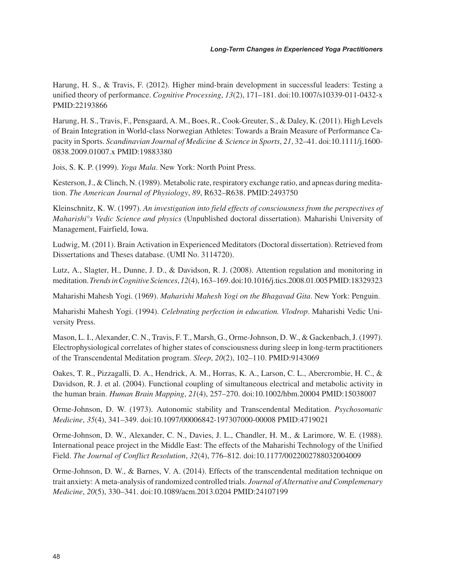Harung, H. S., & Travis, F. (2012). Higher mind-brain development in successful leaders: Testing a unified theory of performance. *Cognitive Processing*, *13*(2), 171–181. doi:10.1007/s10339-011-0432-x PMID:22193866

Harung, H. S., Travis, F., Pensgaard, A. M., Boes, R., Cook-Greuter, S., & Daley, K. (2011). High Levels of Brain Integration in World-class Norwegian Athletes: Towards a Brain Measure of Performance Capacity in Sports. *Scandinavian Journal of Medicine & Science in Sports*, *21*, 32–41. doi:10.1111/j.1600- 0838.2009.01007.x PMID:19883380

Jois, S. K. P. (1999). *Yoga Mala*. New York: North Point Press.

Kesterson, J., & Clinch, N. (1989). Metabolic rate, respiratory exchange ratio, and apneas during meditation. *The American Journal of Physiology*, *89*, R632–R638. PMID:2493750

Kleinschnitz, K. W. (1997). *An investigation into field effects of consciousness from the perspectives of Maharishi°s Vedic Science and physics* (Unpublished doctoral dissertation). Maharishi University of Management, Fairfield, Iowa.

Ludwig, M. (2011). Brain Activation in Experienced Meditators (Doctoral dissertation). Retrieved from Dissertations and Theses database. (UMI No. 3114720).

Lutz, A., Slagter, H., Dunne, J. D., & Davidson, R. J. (2008). Attention regulation and monitoring in meditation. *Trends in Cognitive Sciences*, *12*(4), 163–169. doi:10.1016/j.tics.2008.01.005 PMID:18329323

Maharishi Mahesh Yogi. (1969). *Maharishi Mahesh Yogi on the Bhagavad Gita*. New York: Penguin.

Maharishi Mahesh Yogi. (1994). *Celebrating perfection in education. Vlodrop*. Maharishi Vedic University Press.

Mason, L. I., Alexander, C. N., Travis, F. T., Marsh, G., Orme-Johnson, D. W., & Gackenbach, J. (1997). Electrophysiological correlates of higher states of consciousness during sleep in long-term practitioners of the Transcendental Meditation program. *Sleep*, *20*(2), 102–110. PMID:9143069

Oakes, T. R., Pizzagalli, D. A., Hendrick, A. M., Horras, K. A., Larson, C. L., Abercrombie, H. C., & Davidson, R. J. et al. (2004). Functional coupling of simultaneous electrical and metabolic activity in the human brain. *Human Brain Mapping*, *21*(4), 257–270. doi:10.1002/hbm.20004 PMID:15038007

Orme-Johnson, D. W. (1973). Autonomic stability and Transcendental Meditation. *Psychosomatic Medicine*, *35*(4), 341–349. doi:10.1097/00006842-197307000-00008 PMID:4719021

Orme-Johnson, D. W., Alexander, C. N., Davies, J. L., Chandler, H. M., & Larimore, W. E. (1988). International peace project in the Middle East: The effects of the Maharishi Technology of the Unified Field. *The Journal of Conflict Resolution*, *32*(4), 776–812. doi:10.1177/0022002788032004009

Orme-Johnson, D. W., & Barnes, V. A. (2014). Effects of the transcendental meditation technique on trait anxiety: A meta-analysis of randomized controlled trials. *Journal of Alternative and Complemenary Medicine*, *20*(5), 330–341. doi:10.1089/acm.2013.0204 PMID:24107199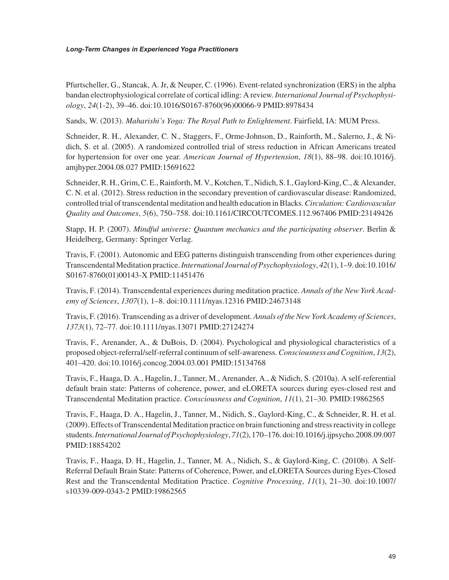Pfurtscheller, G., Stancak, A. Jr, & Neuper, C. (1996). Event-related synchronization (ERS) in the alpha bandan electrophysiological correlate of cortical idling: A review. *International Journal of Psychophysiology*, *24*(1-2), 39–46. doi:10.1016/S0167-8760(96)00066-9 PMID:8978434

Sands, W. (2013). *Maharishi's Yoga: The Royal Path to Enlightement*. Fairfield, IA: MUM Press.

Schneider, R. H., Alexander, C. N., Staggers, F., Orme-Johnson, D., Rainforth, M., Salerno, J., & Nidich, S. et al. (2005). A randomized controlled trial of stress reduction in African Americans treated for hypertension for over one year. *American Journal of Hypertension*, *18*(1), 88–98. doi:10.1016/j. amjhyper.2004.08.027 PMID:15691622

Schneider, R. H., Grim, C. E., Rainforth, M. V., Kotchen, T., Nidich, S. I., Gaylord-King, C., & Alexander, C. N. et al. (2012). Stress reduction in the secondary prevention of cardiovascular disease: Randomized, controlled trial of transcendental meditation and health education in Blacks. *Circulation: Cardiovascular Quality and Outcomes*, *5*(6), 750–758. doi:10.1161/CIRCOUTCOMES.112.967406 PMID:23149426

Stapp, H. P. (2007). *Mindful universe: Quantum mechanics and the participating observer*. Berlin & Heidelberg, Germany: Springer Verlag.

Travis, F. (2001). Autonomic and EEG patterns distinguish transcending from other experiences during Transcendental Meditation practice. *International Journal of Psychophysiology*, *42*(1), 1–9. doi:10.1016/ S0167-8760(01)00143-X PMID:11451476

Travis, F. (2014). Transcendental experiences during meditation practice. *Annals of the New York Academy of Sciences*, *1307*(1), 1–8. doi:10.1111/nyas.12316 PMID:24673148

Travis, F. (2016). Transcending as a driver of development. *Annals of the New York Academy of Sciences*, *1373*(1), 72–77. doi:10.1111/nyas.13071 PMID:27124274

Travis, F., Arenander, A., & DuBois, D. (2004). Psychological and physiological characteristics of a proposed object-referral/self-referral continuum of self-awareness. *Consciousness and Cognition*, *13*(2), 401–420. doi:10.1016/j.concog.2004.03.001 PMID:15134768

Travis, F., Haaga, D. A., Hagelin, J., Tanner, M., Arenander, A., & Nidich, S. (2010a). A self-referential default brain state: Patterns of coherence, power, and eLORETA sources during eyes-closed rest and Transcendental Meditation practice. *Consciousness and Cognition*, *11*(1), 21–30. PMID:19862565

Travis, F., Haaga, D. A., Hagelin, J., Tanner, M., Nidich, S., Gaylord-King, C., & Schneider, R. H. et al. (2009). Effects of Transcendental Meditation practice on brain functioning and stress reactivity in college students. *International Journal of Psychophysiology*, *71*(2), 170–176. doi:10.1016/j.ijpsycho.2008.09.007 PMID:18854202

Travis, F., Haaga, D. H., Hagelin, J., Tanner, M. A., Nidich, S., & Gaylord-King, C. (2010b). A Self-Referral Default Brain State: Patterns of Coherence, Power, and eLORETA Sources during Eyes-Closed Rest and the Transcendental Meditation Practice. *Cognitive Processing*, *11*(1), 21–30. doi:10.1007/ s10339-009-0343-2 PMID:19862565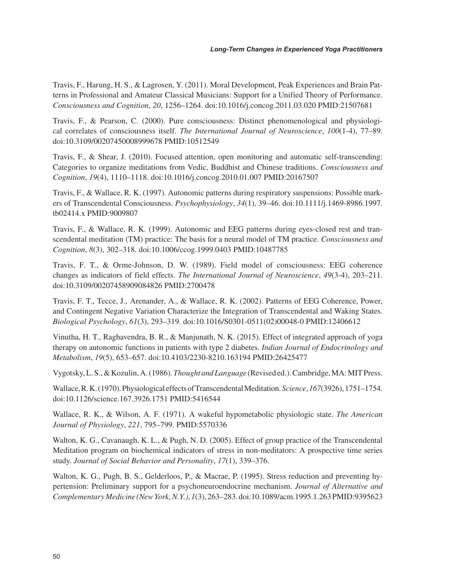Travis, F., Harung, H. S., & Lagrosen, Y. (2011). Moral Development, Peak Experiences and Brain Patterns in Professional and Amateur Classical Musicians: Support for a Unified Theory of Performance. *Consciousness and Cognition*, *20*, 1256–1264. doi:10.1016/j.concog.2011.03.020 PMID:21507681

Travis, F., & Pearson, C. (2000). Pure consciousness: Distinct phenomenological and physiological correlates of consciousness itself. *The International Journal of Neuroscience*, *100*(1-4), 77–89. doi:10.3109/00207450008999678 PMID:10512549

Travis, F., & Shear, J. (2010). Focused attention, open monitoring and automatic self-transcending: Categories to organize meditations from Vedic, Buddhist and Chinese traditions. *Consciousness and Cognition*, *19*(4), 1110–1118. doi:10.1016/j.concog.2010.01.007 PMID:20167507

Travis, F., & Wallace, R. K. (1997). Autonomic patterns during respiratory suspensions: Possible markers of Transcendental Consciousness. *Psychophysiology*, *34*(1), 39–46. doi:10.1111/j.1469-8986.1997. tb02414.x PMID:9009807

Travis, F., & Wallace, R. K. (1999). Autonomic and EEG patterns during eyes-closed rest and transcendental meditation (TM) practice: The basis for a neural model of TM practice. *Consciousness and Cognition*, *8*(3), 302–318. doi:10.1006/ccog.1999.0403 PMID:10487785

Travis, F. T., & Orme-Johnson, D. W. (1989). Field model of consciousness: EEG coherence changes as indicators of field effects. *The International Journal of Neuroscience*, *49*(3-4), 203–211. doi:10.3109/00207458909084826 PMID:2700478

Travis, F. T., Tecce, J., Arenander, A., & Wallace, R. K. (2002). Patterns of EEG Coherence, Power, and Contingent Negative Variation Characterize the Integration of Transcendental and Waking States. *Biological Psychology*, *61*(3), 293–319. doi:10.1016/S0301-0511(02)00048-0 PMID:12406612

Vinutha, H. T., Raghavendra, B. R., & Manjunath, N. K. (2015). Effect of integrated approach of yoga therapy on autonomic functions in patients with type 2 diabetes. *Indian Journal of Endocrinology and Metabolism*, *19*(5), 653–657. doi:10.4103/2230-8210.163194 PMID:26425477

Vygotsky, L. S., & Kozulin, A. (1986). *Thought and Language* (Revised ed.). Cambridge, MA: MIT Press.

Wallace, R. K. (1970). Physiological effects of Transcendental Meditation. *Science*, *167*(3926), 1751–1754. doi:10.1126/science.167.3926.1751 PMID:5416544

Wallace, R. K., & Wilson, A. F. (1971). A wakeful hypometabolic physiologic state. *The American Journal of Physiology*, *221*, 795–799. PMID:5570336

Walton, K. G., Cavanaugh, K. L., & Pugh, N. D. (2005). Effect of group practice of the Transcendental Meditation program on biochemical indicators of stress in non-meditators: A prospective time series study. *Journal of Social Behavior and Personality*, *17*(1), 339–376.

Walton, K. G., Pugh, B. S., Gelderloos, P., & Macrae, P. (1995). Stress reduction and preventing hypertension: Preliminary support for a psychoneuroendocrine mechanism. *Journal of Alternative and Complementary Medicine (New York, N.Y.)*, *1*(3), 263–283. doi:10.1089/acm.1995.1.263 PMID:9395623